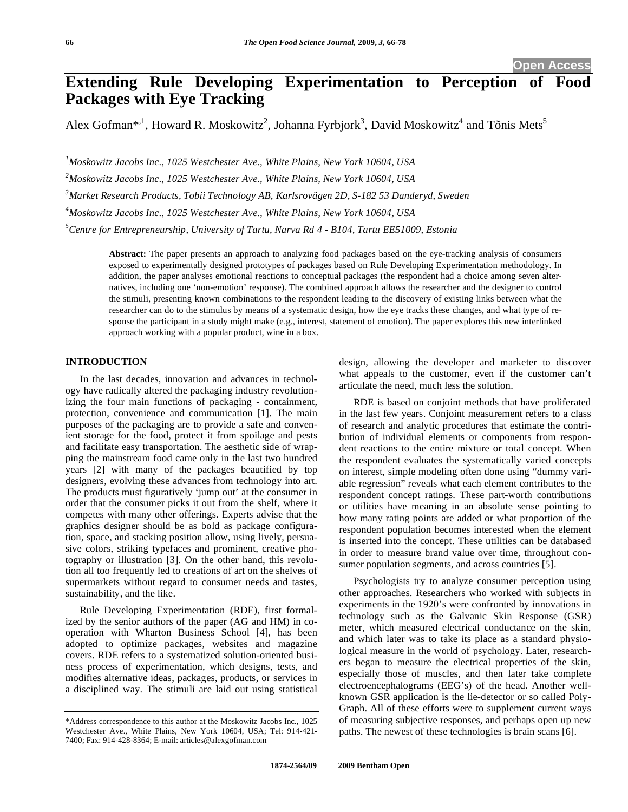# **Extending Rule Developing Experimentation to Perception of Food Packages with Eye Tracking**

Alex Gofman\*<sup>,1</sup>, Howard R. Moskowitz<sup>2</sup>, Johanna Fyrbjork<sup>3</sup>, David Moskowitz<sup>4</sup> and Tõnis Mets<sup>5</sup>

 *Moskowitz Jacobs Inc., 1025 Westchester Ave., White Plains, New York 10604, USA Moskowitz Jacobs Inc., 1025 Westchester Ave., White Plains, New York 10604, USA Market Research Products, Tobii Technology AB, Karlsrovägen 2D, S-182 53 Danderyd, Sweden Moskowitz Jacobs Inc., 1025 Westchester Ave., White Plains, New York 10604, USA Centre for Entrepreneurship, University of Tartu, Narva Rd 4 - B104, Tartu EE51009, Estonia*

> **Abstract:** The paper presents an approach to analyzing food packages based on the eye-tracking analysis of consumers exposed to experimentally designed prototypes of packages based on Rule Developing Experimentation methodology. In addition, the paper analyses emotional reactions to conceptual packages (the respondent had a choice among seven alternatives, including one 'non-emotion' response). The combined approach allows the researcher and the designer to control the stimuli, presenting known combinations to the respondent leading to the discovery of existing links between what the researcher can do to the stimulus by means of a systematic design, how the eye tracks these changes, and what type of response the participant in a study might make (e.g., interest, statement of emotion). The paper explores this new interlinked approach working with a popular product, wine in a box.

## **INTRODUCTION**

In the last decades, innovation and advances in technology have radically altered the packaging industry revolutionizing the four main functions of packaging - containment, protection, convenience and communication [1]. The main purposes of the packaging are to provide a safe and convenient storage for the food, protect it from spoilage and pests and facilitate easy transportation. The aesthetic side of wrapping the mainstream food came only in the last two hundred years [2] with many of the packages beautified by top designers, evolving these advances from technology into art. The products must figuratively 'jump out' at the consumer in order that the consumer picks it out from the shelf, where it competes with many other offerings. Experts advise that the graphics designer should be as bold as package configuration, space, and stacking position allow, using lively, persuasive colors, striking typefaces and prominent, creative photography or illustration [3]. On the other hand, this revolution all too frequently led to creations of art on the shelves of supermarkets without regard to consumer needs and tastes, sustainability, and the like.

Rule Developing Experimentation (RDE), first formalized by the senior authors of the paper (AG and HM) in cooperation with Wharton Business School [4], has been adopted to optimize packages, websites and magazine covers. RDE refers to a systematized solution-oriented business process of experimentation, which designs, tests, and modifies alternative ideas, packages, products, or services in a disciplined way. The stimuli are laid out using statistical

design, allowing the developer and marketer to discover what appeals to the customer, even if the customer can't articulate the need, much less the solution.

RDE is based on conjoint methods that have proliferated in the last few years. Conjoint measurement refers to a class of research and analytic procedures that estimate the contribution of individual elements or components from respondent reactions to the entire mixture or total concept. When the respondent evaluates the systematically varied concepts on interest, simple modeling often done using "dummy variable regression" reveals what each element contributes to the respondent concept ratings. These part-worth contributions or utilities have meaning in an absolute sense pointing to how many rating points are added or what proportion of the respondent population becomes interested when the element is inserted into the concept. These utilities can be databased in order to measure brand value over time, throughout consumer population segments, and across countries [5].

Psychologists try to analyze consumer perception using other approaches. Researchers who worked with subjects in experiments in the 1920's were confronted by innovations in technology such as the Galvanic Skin Response (GSR) meter, which measured electrical conductance on the skin, and which later was to take its place as a standard physiological measure in the world of psychology. Later, researchers began to measure the electrical properties of the skin, especially those of muscles, and then later take complete electroencephalograms (EEG's) of the head. Another wellknown GSR application is the lie-detector or so called Poly-Graph. All of these efforts were to supplement current ways of measuring subjective responses, and perhaps open up new paths. The newest of these technologies is brain scans [6].

<sup>\*</sup>Address correspondence to this author at the Moskowitz Jacobs Inc., 1025 Westchester Ave., White Plains, New York 10604, USA; Tel: 914-421- 7400; Fax: 914-428-8364; E-mail: articles@alexgofman.com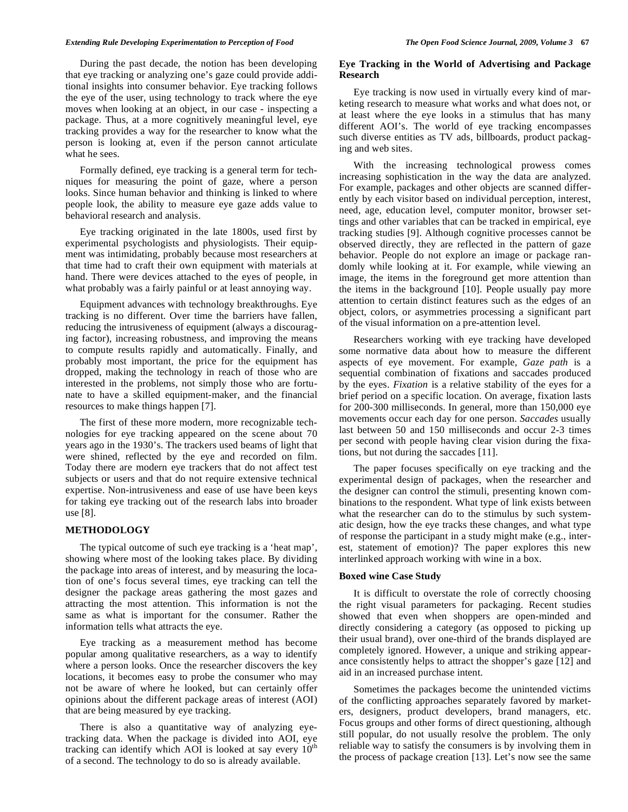#### *Extending Rule Developing Experimentation to Perception of Food The Open Food Science Journal, 2009, Volume 3* **67**

During the past decade, the notion has been developing that eye tracking or analyzing one's gaze could provide additional insights into consumer behavior. Eye tracking follows the eye of the user, using technology to track where the eye moves when looking at an object, in our case - inspecting a package. Thus, at a more cognitively meaningful level, eye tracking provides a way for the researcher to know what the person is looking at, even if the person cannot articulate what he sees.

Formally defined, eye tracking is a general term for techniques for measuring the point of gaze, where a person looks. Since human behavior and thinking is linked to where people look, the ability to measure eye gaze adds value to behavioral research and analysis.

Eye tracking originated in the late 1800s, used first by experimental psychologists and physiologists. Their equipment was intimidating, probably because most researchers at that time had to craft their own equipment with materials at hand. There were devices attached to the eyes of people, in what probably was a fairly painful or at least annoying way.

Equipment advances with technology breakthroughs. Eye tracking is no different. Over time the barriers have fallen, reducing the intrusiveness of equipment (always a discouraging factor), increasing robustness, and improving the means to compute results rapidly and automatically. Finally, and probably most important, the price for the equipment has dropped, making the technology in reach of those who are interested in the problems, not simply those who are fortunate to have a skilled equipment-maker, and the financial resources to make things happen [7].

The first of these more modern, more recognizable technologies for eye tracking appeared on the scene about 70 years ago in the 1930's. The trackers used beams of light that were shined, reflected by the eye and recorded on film. Today there are modern eye trackers that do not affect test subjects or users and that do not require extensive technical expertise. Non-intrusiveness and ease of use have been keys for taking eye tracking out of the research labs into broader use [8].

#### **METHODOLOGY**

The typical outcome of such eye tracking is a 'heat map', showing where most of the looking takes place. By dividing the package into areas of interest, and by measuring the location of one's focus several times, eye tracking can tell the designer the package areas gathering the most gazes and attracting the most attention. This information is not the same as what is important for the consumer. Rather the information tells what attracts the eye.

Eye tracking as a measurement method has become popular among qualitative researchers, as a way to identify where a person looks. Once the researcher discovers the key locations, it becomes easy to probe the consumer who may not be aware of where he looked, but can certainly offer opinions about the different package areas of interest (AOI) that are being measured by eye tracking.

There is also a quantitative way of analyzing eyetracking data. When the package is divided into AOI, eye tracking can identify which AOI is looked at say every  $10<sup>th</sup>$ of a second. The technology to do so is already available.

#### **Eye Tracking in the World of Advertising and Package Research**

Eye tracking is now used in virtually every kind of marketing research to measure what works and what does not, or at least where the eye looks in a stimulus that has many different AOI's. The world of eye tracking encompasses such diverse entities as TV ads, billboards, product packaging and web sites.

With the increasing technological prowess comes increasing sophistication in the way the data are analyzed. For example, packages and other objects are scanned differently by each visitor based on individual perception, interest, need, age, education level, computer monitor, browser settings and other variables that can be tracked in empirical, eye tracking studies [9]. Although cognitive processes cannot be observed directly, they are reflected in the pattern of gaze behavior. People do not explore an image or package randomly while looking at it. For example, while viewing an image, the items in the foreground get more attention than the items in the background [10]. People usually pay more attention to certain distinct features such as the edges of an object, colors, or asymmetries processing a significant part of the visual information on a pre-attention level.

Researchers working with eye tracking have developed some normative data about how to measure the different aspects of eye movement. For example, *Gaze path* is a sequential combination of fixations and saccades produced by the eyes. *Fixation* is a relative stability of the eyes for a brief period on a specific location. On average, fixation lasts for 200-300 milliseconds. In general, more than 150,000 eye movements occur each day for one person. *Saccades* usually last between 50 and 150 milliseconds and occur 2-3 times per second with people having clear vision during the fixations, but not during the saccades [11].

The paper focuses specifically on eye tracking and the experimental design of packages, when the researcher and the designer can control the stimuli, presenting known combinations to the respondent. What type of link exists between what the researcher can do to the stimulus by such systematic design, how the eye tracks these changes, and what type of response the participant in a study might make (e.g., interest, statement of emotion)? The paper explores this new interlinked approach working with wine in a box.

#### **Boxed wine Case Study**

It is difficult to overstate the role of correctly choosing the right visual parameters for packaging. Recent studies showed that even when shoppers are open-minded and directly considering a category (as opposed to picking up their usual brand), over one-third of the brands displayed are completely ignored. However, a unique and striking appearance consistently helps to attract the shopper's gaze [12] and aid in an increased purchase intent.

Sometimes the packages become the unintended victims of the conflicting approaches separately favored by marketers, designers, product developers, brand managers, etc. Focus groups and other forms of direct questioning, although still popular, do not usually resolve the problem. The only reliable way to satisfy the consumers is by involving them in the process of package creation [13]. Let's now see the same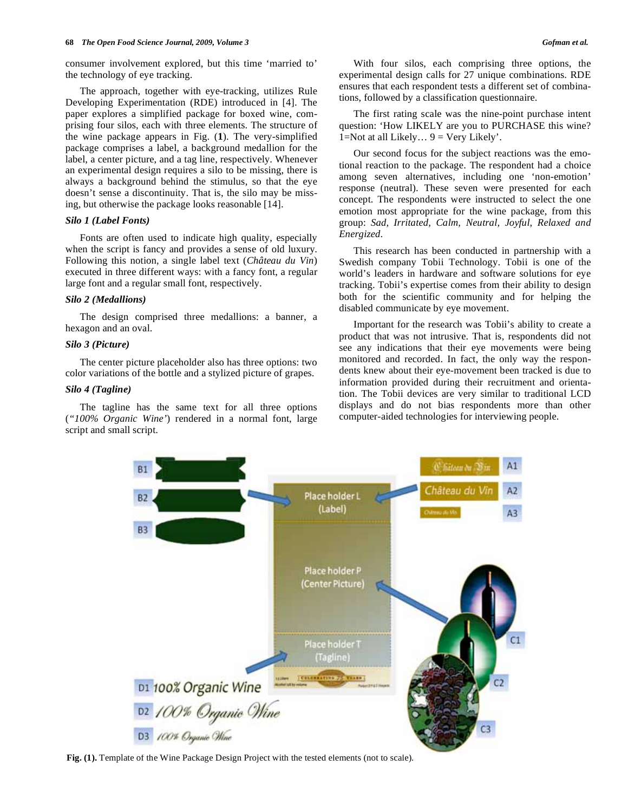consumer involvement explored, but this time 'married to' the technology of eye tracking.

The approach, together with eye-tracking, utilizes Rule Developing Experimentation (RDE) introduced in [4]. The paper explores a simplified package for boxed wine, comprising four silos, each with three elements. The structure of the wine package appears in Fig. (**1**). The very-simplified package comprises a label, a background medallion for the label, a center picture, and a tag line, respectively. Whenever an experimental design requires a silo to be missing, there is always a background behind the stimulus, so that the eye doesn't sense a discontinuity. That is, the silo may be missing, but otherwise the package looks reasonable [14].

## *Silo 1 (Label Fonts)*

Fonts are often used to indicate high quality, especially when the script is fancy and provides a sense of old luxury. Following this notion, a single label text (*Château du Vin*) executed in three different ways: with a fancy font, a regular large font and a regular small font, respectively.

#### *Silo 2 (Medallions)*

The design comprised three medallions: a banner, a hexagon and an oval.

## *Silo 3 (Picture)*

The center picture placeholder also has three options: two color variations of the bottle and a stylized picture of grapes.

#### *Silo 4 (Tagline)*

The tagline has the same text for all three options (*"100% Organic Wine'*) rendered in a normal font, large script and small script.

With four silos, each comprising three options, the experimental design calls for 27 unique combinations. RDE ensures that each respondent tests a different set of combinations, followed by a classification questionnaire.

The first rating scale was the nine-point purchase intent question: 'How LIKELY are you to PURCHASE this wine? 1=Not at all Likely...  $9 = \text{Very likely}$ .

Our second focus for the subject reactions was the emotional reaction to the package. The respondent had a choice among seven alternatives, including one 'non-emotion' response (neutral). These seven were presented for each concept. The respondents were instructed to select the one emotion most appropriate for the wine package, from this group: *Sad, Irritated, Calm, Neutral, Joyful, Relaxed and Energized*.

This research has been conducted in partnership with a Swedish company Tobii Technology. Tobii is one of the world's leaders in hardware and software solutions for eye tracking. Tobii's expertise comes from their ability to design both for the scientific community and for helping the disabled communicate by eye movement.

Important for the research was Tobii's ability to create a product that was not intrusive. That is, respondents did not see any indications that their eye movements were being monitored and recorded. In fact, the only way the respondents knew about their eye-movement been tracked is due to information provided during their recruitment and orientation. The Tobii devices are very similar to traditional LCD displays and do not bias respondents more than other computer-aided technologies for interviewing people.



**Fig. (1).** Template of the Wine Package Design Project with the tested elements (not to scale).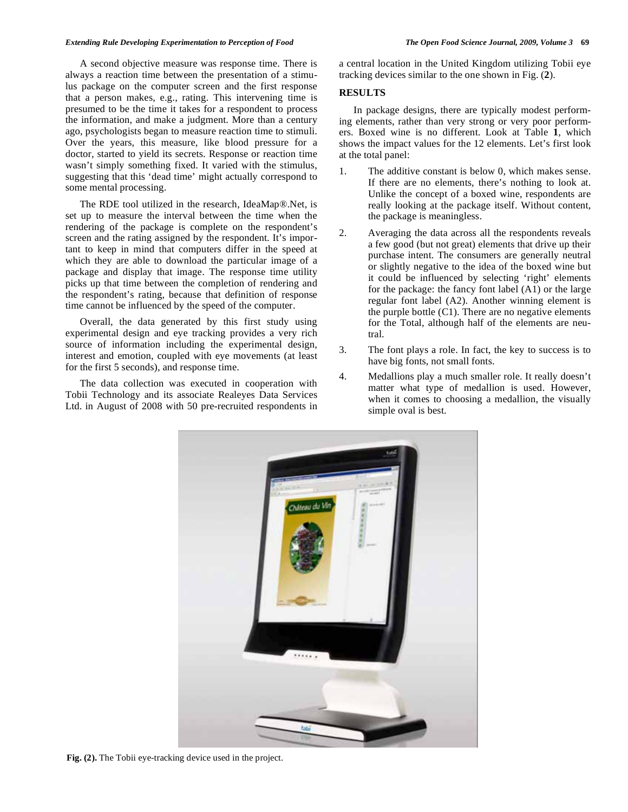#### *Extending Rule Developing Experimentation to Perception of Food The Open Food Science Journal, 2009, Volume 3* **69**

A second objective measure was response time. There is always a reaction time between the presentation of a stimulus package on the computer screen and the first response that a person makes, e.g., rating. This intervening time is presumed to be the time it takes for a respondent to process the information, and make a judgment. More than a century ago, psychologists began to measure reaction time to stimuli. Over the years, this measure, like blood pressure for a doctor, started to yield its secrets. Response or reaction time wasn't simply something fixed. It varied with the stimulus, suggesting that this 'dead time' might actually correspond to some mental processing.

The RDE tool utilized in the research, IdeaMap®.Net, is set up to measure the interval between the time when the rendering of the package is complete on the respondent's screen and the rating assigned by the respondent. It's important to keep in mind that computers differ in the speed at which they are able to download the particular image of a package and display that image. The response time utility picks up that time between the completion of rendering and the respondent's rating, because that definition of response time cannot be influenced by the speed of the computer.

Overall, the data generated by this first study using experimental design and eye tracking provides a very rich source of information including the experimental design, interest and emotion, coupled with eye movements (at least for the first 5 seconds), and response time.

The data collection was executed in cooperation with Tobii Technology and its associate Realeyes Data Services Ltd. in August of 2008 with 50 pre-recruited respondents in

a central location in the United Kingdom utilizing Tobii eye tracking devices similar to the one shown in Fig. (**2**).

## **RESULTS**

In package designs, there are typically modest performing elements, rather than very strong or very poor performers. Boxed wine is no different. Look at Table **1**, which shows the impact values for the 12 elements. Let's first look at the total panel:

- 1. The additive constant is below 0, which makes sense. If there are no elements, there's nothing to look at. Unlike the concept of a boxed wine, respondents are really looking at the package itself. Without content, the package is meaningless.
- 2. Averaging the data across all the respondents reveals a few good (but not great) elements that drive up their purchase intent. The consumers are generally neutral or slightly negative to the idea of the boxed wine but it could be influenced by selecting 'right' elements for the package: the fancy font label (A1) or the large regular font label (A2). Another winning element is the purple bottle  $(C1)$ . There are no negative elements for the Total, although half of the elements are neutral.
- 3. The font plays a role. In fact, the key to success is to have big fonts, not small fonts.
- 4. Medallions play a much smaller role. It really doesn't matter what type of medallion is used. However, when it comes to choosing a medallion, the visually simple oval is best.



**Fig. (2).** The Tobii eye-tracking device used in the project.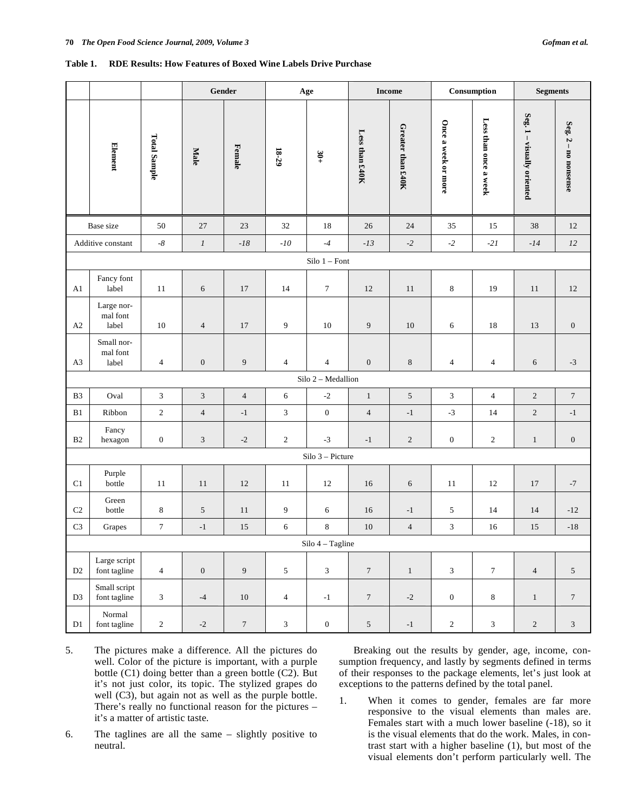#### **Table 1. RDE Results: How Features of Boxed Wine Labels Drive Purchase**

|                |                                 |                     |                   | Gender<br>Age<br><b>Income</b> |                             |                    |                  | Consumption       | <b>Segments</b>     |                       |                            |                          |
|----------------|---------------------------------|---------------------|-------------------|--------------------------------|-----------------------------|--------------------|------------------|-------------------|---------------------|-----------------------|----------------------------|--------------------------|
|                | Element                         | <b>Total Sample</b> | Male              | Female                         | $18-29$                     | $30+$              | Less than £40K   | Greater than £40K | Once a week or more | Less than once a week | Seg. 1 - visually oriented | Seg. $2 - m$ no nonsense |
|                | Base size                       | $50\,$              | $27\,$            | 23                             | 32                          | 18                 | 26               | 24                | 35                  | 15                    | 38                         | 12                       |
|                | Additive constant               | -8 $\,$             | $\boldsymbol{l}$  | $-18\,$                        | $-10$                       | $-4$               | $-13$            | $\textbf{-2}$     | $-2$                | $-21$                 | $-14$                      | 12                       |
|                |                                 |                     |                   |                                |                             | $Silo 1 - Font$    |                  |                   |                     |                       |                            |                          |
| A1             | Fancy font<br>label             | 11                  | $\sqrt{6}$        | $17\,$                         | 14                          | 7                  | 12               | 11                | 8                   | 19                    | 11                         | $12\,$                   |
| A2             | Large nor-<br>mal font<br>label | $10\,$              | $\overline{4}$    | 17                             | 9                           | 10                 | $\overline{9}$   | 10                | 6                   | 18                    | 13                         | $\boldsymbol{0}$         |
| A <sub>3</sub> | Small nor-<br>mal font<br>label | $\overline{4}$      | $\boldsymbol{0}$  | $\overline{9}$                 | $\overline{4}$              | 4                  | $\boldsymbol{0}$ | $\,8\,$           | $\overline{4}$      | $\overline{4}$        | 6                          | $-3$                     |
|                |                                 |                     |                   |                                |                             | Silo 2 - Medallion |                  |                   |                     |                       |                            |                          |
| B <sub>3</sub> | Oval                            | $\mathfrak{Z}$      | 3                 | $\overline{4}$                 | 6                           | $-2$               | $1\,$            | $\sqrt{5}$        | 3                   | $\overline{4}$        | $\sqrt{2}$                 | $\overline{7}$           |
| B1             | Ribbon                          | $\mathbf{2}$        | $\overline{4}$    | $-1$                           | $\mathfrak{Z}$              | $\boldsymbol{0}$   | $\overline{4}$   | $-1$              | $-3$                | 14                    | $\sqrt{2}$                 | $-1$                     |
| B <sub>2</sub> | Fancy<br>hexagon                | $\boldsymbol{0}$    | $\mathfrak{Z}$    | $\textnormal{-}2$              | $\mathfrak{2}$              | $-3$               | $-1$             | $\sqrt{2}$        | $\mathbf{0}$        | $\overline{2}$        | $\mathbf{1}$               | $\boldsymbol{0}$         |
|                |                                 |                     |                   |                                |                             | $Silo 3 - Picture$ |                  |                   |                     |                       |                            |                          |
| C1             | Purple<br>bottle                | 11                  | $11\,$            | 12                             | 11                          | 12                 | 16               | 6                 | 11                  | 12                    | 17                         | $-7$                     |
| C <sub>2</sub> | Green<br>bottle                 | $\,8\,$             | $\sqrt{5}$        | 11                             | 9                           | 6                  | 16               | $-1$              | $\sqrt{5}$          | 14                    | 14                         | $-12$                    |
| C <sub>3</sub> | Grapes                          | $\tau$              | $-1$              | 15                             | 6                           | 8                  | 10               | $\overline{4}$    | 3                   | 16                    | 15                         | $-18$                    |
|                |                                 |                     |                   |                                |                             | Silo 4 - Tagline   |                  |                   |                     |                       |                            |                          |
| $\mathbf{D}2$  | Large script<br>font tagline    | $\overline{4}$      | $\boldsymbol{0}$  | $\overline{9}$                 | $\sqrt{5}$                  | 3                  | $\boldsymbol{7}$ | $1\,$             | 3                   | $\boldsymbol{7}$      | $\sqrt{4}$                 | $\mathfrak{S}$           |
| D <sub>3</sub> | Small script<br>font tagline    | $\mathfrak{Z}$      | $-4$              | $10\,$                         | $\overline{4}$              | $-1$               | $\boldsymbol{7}$ | $\mbox{-}2$       | $\boldsymbol{0}$    | $\,8\,$               | $\mathbf{1}$               | $\overline{7}$           |
| $\mathbf{D}1$  | Normal<br>font tagline          | $\sqrt{2}$          | $\textnormal{-}2$ | $\boldsymbol{7}$               | $\ensuremath{\mathfrak{Z}}$ | $\boldsymbol{0}$   | $\sqrt{5}$       | $^{\rm -1}$       | $\overline{c}$      | $\mathfrak{Z}$        | $\sqrt{2}$                 | $\mathfrak{Z}$           |

- 5. The pictures make a difference. All the pictures do well. Color of the picture is important, with a purple bottle (C1) doing better than a green bottle (C2). But it's not just color, its topic. The stylized grapes do well (C3), but again not as well as the purple bottle. There's really no functional reason for the pictures – it's a matter of artistic taste.
- 6. The taglines are all the same slightly positive to neutral.

Breaking out the results by gender, age, income, consumption frequency, and lastly by segments defined in terms of their responses to the package elements, let's just look at exceptions to the patterns defined by the total panel.

1. When it comes to gender, females are far more responsive to the visual elements than males are. Females start with a much lower baseline (-18), so it is the visual elements that do the work. Males, in contrast start with a higher baseline (1), but most of the visual elements don't perform particularly well. The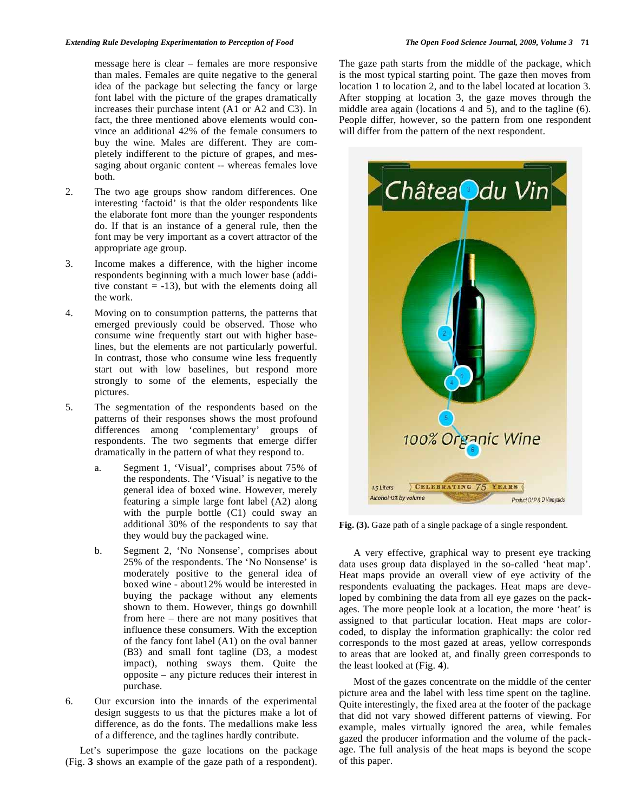message here is clear – females are more responsive than males. Females are quite negative to the general idea of the package but selecting the fancy or large font label with the picture of the grapes dramatically increases their purchase intent (A1 or A2 and C3). In fact, the three mentioned above elements would convince an additional 42% of the female consumers to buy the wine. Males are different. They are completely indifferent to the picture of grapes, and messaging about organic content -- whereas females love both.

- 2. The two age groups show random differences. One interesting 'factoid' is that the older respondents like the elaborate font more than the younger respondents do. If that is an instance of a general rule, then the font may be very important as a covert attractor of the appropriate age group.
- 3. Income makes a difference, with the higher income respondents beginning with a much lower base (additive constant  $= -13$ ), but with the elements doing all the work.
- 4. Moving on to consumption patterns, the patterns that emerged previously could be observed. Those who consume wine frequently start out with higher baselines, but the elements are not particularly powerful. In contrast, those who consume wine less frequently start out with low baselines, but respond more strongly to some of the elements, especially the pictures.
- 5. The segmentation of the respondents based on the patterns of their responses shows the most profound differences among 'complementary' groups of respondents. The two segments that emerge differ dramatically in the pattern of what they respond to.
	- a. Segment 1, 'Visual', comprises about 75% of the respondents. The 'Visual' is negative to the general idea of boxed wine. However, merely featuring a simple large font label (A2) along with the purple bottle (C1) could sway an additional 30% of the respondents to say that they would buy the packaged wine.
	- b. Segment 2, 'No Nonsense', comprises about 25% of the respondents. The 'No Nonsense' is moderately positive to the general idea of boxed wine - about12% would be interested in buying the package without any elements shown to them. However, things go downhill from here – there are not many positives that influence these consumers. With the exception of the fancy font label (A1) on the oval banner (B3) and small font tagline (D3, a modest impact), nothing sways them. Quite the opposite – any picture reduces their interest in purchase.
- 6. Our excursion into the innards of the experimental design suggests to us that the pictures make a lot of difference, as do the fonts. The medallions make less of a difference, and the taglines hardly contribute.

Let's superimpose the gaze locations on the package (Fig. **3** shows an example of the gaze path of a respondent).

The gaze path starts from the middle of the package, which is the most typical starting point. The gaze then moves from location 1 to location 2, and to the label located at location 3. After stopping at location 3, the gaze moves through the middle area again (locations 4 and 5), and to the tagline (6). People differ, however, so the pattern from one respondent will differ from the pattern of the next respondent.



**Fig. (3).** Gaze path of a single package of a single respondent.

A very effective, graphical way to present eye tracking data uses group data displayed in the so-called 'heat map'. Heat maps provide an overall view of eye activity of the respondents evaluating the packages. Heat maps are developed by combining the data from all eye gazes on the packages. The more people look at a location, the more 'heat' is assigned to that particular location. Heat maps are colorcoded, to display the information graphically: the color red corresponds to the most gazed at areas, yellow corresponds to areas that are looked at, and finally green corresponds to the least looked at (Fig. **4**).

Most of the gazes concentrate on the middle of the center picture area and the label with less time spent on the tagline. Quite interestingly, the fixed area at the footer of the package that did not vary showed different patterns of viewing. For example, males virtually ignored the area, while females gazed the producer information and the volume of the package. The full analysis of the heat maps is beyond the scope of this paper.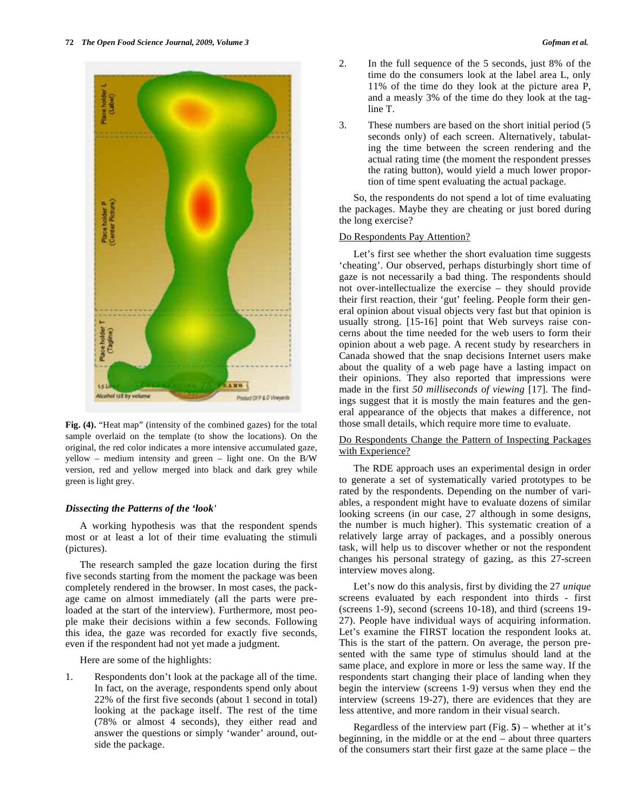

**Fig. (4).** "Heat map" (intensity of the combined gazes) for the total sample overlaid on the template (to show the locations). On the original, the red color indicates a more intensive accumulated gaze, yellow – medium intensity and green – light one. On the B/W version, red and yellow merged into black and dark grey while green is light grey.

#### *Dissecting the Patterns of the 'look'*

A working hypothesis was that the respondent spends most or at least a lot of their time evaluating the stimuli (pictures).

The research sampled the gaze location during the first five seconds starting from the moment the package was been completely rendered in the browser. In most cases, the package came on almost immediately (all the parts were preloaded at the start of the interview). Furthermore, most people make their decisions within a few seconds. Following this idea, the gaze was recorded for exactly five seconds, even if the respondent had not yet made a judgment.

Here are some of the highlights:

1. Respondents don't look at the package all of the time. In fact, on the average, respondents spend only about 22% of the first five seconds (about 1 second in total) looking at the package itself. The rest of the time (78% or almost 4 seconds), they either read and answer the questions or simply 'wander' around, outside the package.

- 2. In the full sequence of the 5 seconds, just 8% of the time do the consumers look at the label area L, only 11% of the time do they look at the picture area P, and a measly 3% of the time do they look at the tagline T.
- 3. These numbers are based on the short initial period (5 seconds only) of each screen. Alternatively, tabulating the time between the screen rendering and the actual rating time (the moment the respondent presses the rating button), would yield a much lower proportion of time spent evaluating the actual package.

So, the respondents do not spend a lot of time evaluating the packages. Maybe they are cheating or just bored during the long exercise?

## Do Respondents Pay Attention?

Let's first see whether the short evaluation time suggests 'cheating'. Our observed, perhaps disturbingly short time of gaze is not necessarily a bad thing. The respondents should not over-intellectualize the exercise – they should provide their first reaction, their 'gut' feeling. People form their general opinion about visual objects very fast but that opinion is usually strong. [15-16] point that Web surveys raise concerns about the time needed for the web users to form their opinion about a web page. A recent study by researchers in Canada showed that the snap decisions Internet users make about the quality of a web page have a lasting impact on their opinions. They also reported that impressions were made in the first *50 milliseconds of viewing* [17]. The findings suggest that it is mostly the main features and the general appearance of the objects that makes a difference, not those small details, which require more time to evaluate.

## Do Respondents Change the Pattern of Inspecting Packages with Experience?

The RDE approach uses an experimental design in order to generate a set of systematically varied prototypes to be rated by the respondents. Depending on the number of variables, a respondent might have to evaluate dozens of similar looking screens (in our case, 27 although in some designs, the number is much higher). This systematic creation of a relatively large array of packages, and a possibly onerous task, will help us to discover whether or not the respondent changes his personal strategy of gazing, as this 27-screen interview moves along.

Let's now do this analysis, first by dividing the 27 *unique* screens evaluated by each respondent into thirds - first (screens 1-9), second (screens 10-18), and third (screens 19- 27). People have individual ways of acquiring information. Let's examine the FIRST location the respondent looks at. This is the start of the pattern. On average, the person presented with the same type of stimulus should land at the same place, and explore in more or less the same way. If the respondents start changing their place of landing when they begin the interview (screens 1-9) versus when they end the interview (screens 19-27), there are evidences that they are less attentive, and more random in their visual search.

Regardless of the interview part (Fig. **5**) – whether at it's beginning, in the middle or at the end – about three quarters of the consumers start their first gaze at the same place – the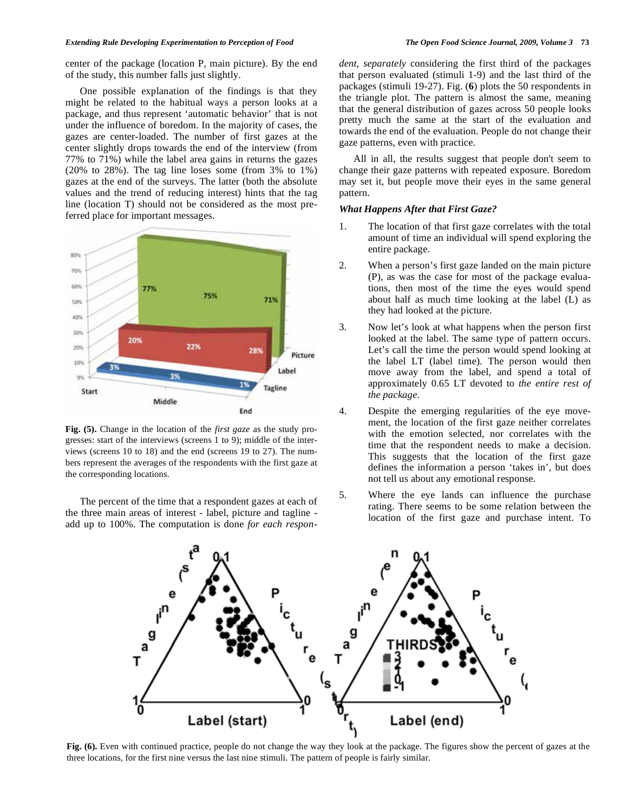center of the package (location P, main picture). By the end of the study, this number falls just slightly.

One possible explanation of the findings is that they might be related to the habitual ways a person looks at a package, and thus represent 'automatic behavior' that is not under the influence of boredom. In the majority of cases, the gazes are center-loaded. The number of first gazes at the center slightly drops towards the end of the interview (from 77% to 71%) while the label area gains in returns the gazes (20% to 28%). The tag line loses some (from 3% to 1%) gazes at the end of the surveys. The latter (both the absolute values and the trend of reducing interest) hints that the tag line (location T) should not be considered as the most preferred place for important messages.



**Fig. (5).** Change in the location of the *first gaze* as the study progresses: start of the interviews (screens 1 to 9); middle of the interviews (screens 10 to 18) and the end (screens 19 to 27). The numbers represent the averages of the respondents with the first gaze at the corresponding locations*.* 

The percent of the time that a respondent gazes at each of the three main areas of interest - label, picture and tagline add up to 100%. The computation is done *for each respon-* *dent, separately* considering the first third of the packages that person evaluated (stimuli 1-9) and the last third of the packages (stimuli 19-27). Fig. (**6**) plots the 50 respondents in the triangle plot. The pattern is almost the same, meaning that the general distribution of gazes across 50 people looks pretty much the same at the start of the evaluation and towards the end of the evaluation. People do not change their gaze patterns, even with practice.

All in all, the results suggest that people don't seem to change their gaze patterns with repeated exposure. Boredom may set it, but people move their eyes in the same general pattern.

### *What Happens After that First Gaze?*

- 1. The location of that first gaze correlates with the total amount of time an individual will spend exploring the entire package.
- 2. When a person's first gaze landed on the main picture (P), as was the case for most of the package evaluations, then most of the time the eyes would spend about half as much time looking at the label (L) as they had looked at the picture.
- 3. Now let's look at what happens when the person first looked at the label. The same type of pattern occurs. Let's call the time the person would spend looking at the label LT (label time). The person would then move away from the label, and spend a total of approximately 0.65 LT devoted to *the entire rest of the package.*
- 4. Despite the emerging regularities of the eye movement, the location of the first gaze neither correlates with the emotion selected, nor correlates with the time that the respondent needs to make a decision. This suggests that the location of the first gaze defines the information a person 'takes in', but does not tell us about any emotional response.
- 5. Where the eye lands can influence the purchase rating. There seems to be some relation between the location of the first gaze and purchase intent. To



**Fig. (6).** Even with continued practice, people do not change the way they look at the package. The figures show the percent of gazes at the three locations, for the first nine versus the last nine stimuli. The pattern of people is fairly similar.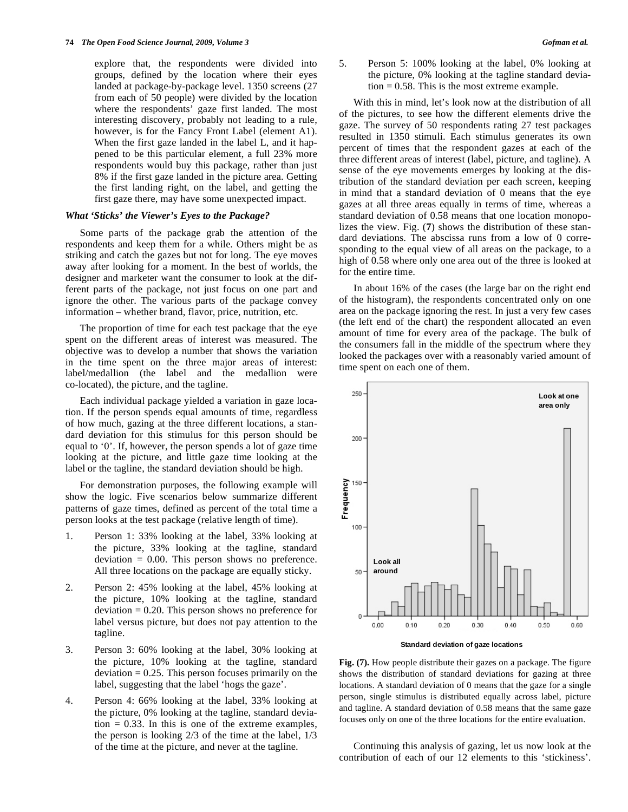explore that, the respondents were divided into groups, defined by the location where their eyes landed at package-by-package level. 1350 screens (27 from each of 50 people) were divided by the location where the respondents' gaze first landed. The most interesting discovery, probably not leading to a rule, however, is for the Fancy Front Label (element A1). When the first gaze landed in the label L, and it happened to be this particular element, a full 23% more respondents would buy this package, rather than just 8% if the first gaze landed in the picture area. Getting the first landing right, on the label, and getting the first gaze there, may have some unexpected impact.

## *What 'Sticks' the Viewer's Eyes to the Package?*

Some parts of the package grab the attention of the respondents and keep them for a while. Others might be as striking and catch the gazes but not for long. The eye moves away after looking for a moment. In the best of worlds, the designer and marketer want the consumer to look at the different parts of the package, not just focus on one part and ignore the other. The various parts of the package convey information – whether brand, flavor, price, nutrition, etc.

The proportion of time for each test package that the eye spent on the different areas of interest was measured. The objective was to develop a number that shows the variation in the time spent on the three major areas of interest: label/medallion (the label and the medallion were co-located), the picture, and the tagline.

Each individual package yielded a variation in gaze location. If the person spends equal amounts of time, regardless of how much, gazing at the three different locations, a standard deviation for this stimulus for this person should be equal to '0'. If, however, the person spends a lot of gaze time looking at the picture, and little gaze time looking at the label or the tagline, the standard deviation should be high.

For demonstration purposes, the following example will show the logic. Five scenarios below summarize different patterns of gaze times, defined as percent of the total time a person looks at the test package (relative length of time).

- 1. Person 1: 33% looking at the label, 33% looking at the picture, 33% looking at the tagline, standard  $deviation = 0.00$ . This person shows no preference. All three locations on the package are equally sticky.
- 2. Person 2: 45% looking at the label, 45% looking at the picture, 10% looking at the tagline, standard  $deviation = 0.20$ . This person shows no preference for label versus picture, but does not pay attention to the tagline.
- 3. Person 3: 60% looking at the label, 30% looking at the picture, 10% looking at the tagline, standard  $deviation = 0.25$ . This person focuses primarily on the label, suggesting that the label 'hogs the gaze'.
- 4. Person 4: 66% looking at the label, 33% looking at the picture, 0% looking at the tagline, standard deviation  $= 0.33$ . In this is one of the extreme examples, the person is looking 2/3 of the time at the label, 1/3 of the time at the picture, and never at the tagline.

5. Person 5: 100% looking at the label, 0% looking at the picture, 0% looking at the tagline standard devia- $\tau$  tion = 0.58. This is the most extreme example.

With this in mind, let's look now at the distribution of all of the pictures, to see how the different elements drive the gaze. The survey of 50 respondents rating 27 test packages resulted in 1350 stimuli. Each stimulus generates its own percent of times that the respondent gazes at each of the three different areas of interest (label, picture, and tagline). A sense of the eye movements emerges by looking at the distribution of the standard deviation per each screen, keeping in mind that a standard deviation of 0 means that the eye gazes at all three areas equally in terms of time, whereas a standard deviation of 0.58 means that one location monopolizes the view. Fig. (**7**) shows the distribution of these standard deviations. The abscissa runs from a low of 0 corresponding to the equal view of all areas on the package, to a high of 0.58 where only one area out of the three is looked at for the entire time.

In about 16% of the cases (the large bar on the right end of the histogram), the respondents concentrated only on one area on the package ignoring the rest. In just a very few cases (the left end of the chart) the respondent allocated an even amount of time for every area of the package. The bulk of the consumers fall in the middle of the spectrum where they looked the packages over with a reasonably varied amount of time spent on each one of them.



**Standard deviation of gaze locations** 

**Fig. (7).** How people distribute their gazes on a package. The figure shows the distribution of standard deviations for gazing at three locations. A standard deviation of 0 means that the gaze for a single person, single stimulus is distributed equally across label, picture and tagline. A standard deviation of 0.58 means that the same gaze focuses only on one of the three locations for the entire evaluation.

Continuing this analysis of gazing, let us now look at the contribution of each of our 12 elements to this 'stickiness'.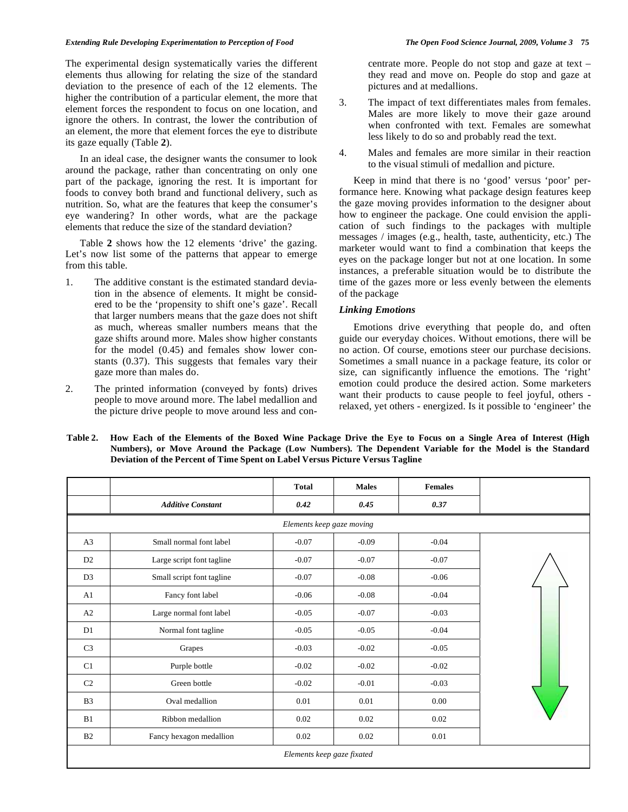#### *Extending Rule Developing Experimentation to Perception of Food The Open Food Science Journal, 2009, Volume 3* **75**

The experimental design systematically varies the different elements thus allowing for relating the size of the standard deviation to the presence of each of the 12 elements. The higher the contribution of a particular element, the more that element forces the respondent to focus on one location, and ignore the others. In contrast, the lower the contribution of an element, the more that element forces the eye to distribute its gaze equally (Table **2**).

In an ideal case, the designer wants the consumer to look around the package, rather than concentrating on only one part of the package, ignoring the rest. It is important for foods to convey both brand and functional delivery, such as nutrition. So, what are the features that keep the consumer's eye wandering? In other words, what are the package elements that reduce the size of the standard deviation?

Table **2** shows how the 12 elements 'drive' the gazing. Let's now list some of the patterns that appear to emerge from this table.

- 1. The additive constant is the estimated standard deviation in the absence of elements. It might be considered to be the 'propensity to shift one's gaze'. Recall that larger numbers means that the gaze does not shift as much, whereas smaller numbers means that the gaze shifts around more. Males show higher constants for the model (0.45) and females show lower constants (0.37). This suggests that females vary their gaze more than males do.
- 2. The printed information (conveyed by fonts) drives people to move around more. The label medallion and the picture drive people to move around less and con-

centrate more. People do not stop and gaze at text – they read and move on. People do stop and gaze at pictures and at medallions.

- 3. The impact of text differentiates males from females. Males are more likely to move their gaze around when confronted with text. Females are somewhat less likely to do so and probably read the text.
- 4. Males and females are more similar in their reaction to the visual stimuli of medallion and picture.

Keep in mind that there is no 'good' versus 'poor' performance here. Knowing what package design features keep the gaze moving provides information to the designer about how to engineer the package. One could envision the application of such findings to the packages with multiple messages / images (e.g., health, taste, authenticity, etc.) The marketer would want to find a combination that keeps the eyes on the package longer but not at one location. In some instances, a preferable situation would be to distribute the time of the gazes more or less evenly between the elements of the package

# *Linking Emotions*

Emotions drive everything that people do, and often guide our everyday choices. Without emotions, there will be no action. Of course, emotions steer our purchase decisions. Sometimes a small nuance in a package feature, its color or size, can significantly influence the emotions. The 'right' emotion could produce the desired action. Some marketers want their products to cause people to feel joyful, others relaxed, yet others - energized. Is it possible to 'engineer' the

|                           |                            | <b>Total</b><br><b>Males</b>  |         | <b>Females</b> |  |  |  |
|---------------------------|----------------------------|-------------------------------|---------|----------------|--|--|--|
|                           | <b>Additive Constant</b>   | 0.42                          | 0.45    | 0.37           |  |  |  |
| Elements keep gaze moving |                            |                               |         |                |  |  |  |
| A <sub>3</sub>            | Small normal font label    | $-0.04$<br>$-0.07$<br>$-0.09$ |         |                |  |  |  |
| D2                        | Large script font tagline  | $-0.07$                       | $-0.07$ | $-0.07$        |  |  |  |
| D <sub>3</sub>            | Small script font tagline  | $-0.07$                       | $-0.08$ | $-0.06$        |  |  |  |
| A <sub>1</sub>            | Fancy font label           | $-0.06$                       | $-0.08$ | $-0.04$        |  |  |  |
| A2                        | Large normal font label    | $-0.05$                       | $-0.07$ | $-0.03$        |  |  |  |
| D1                        | Normal font tagline        | $-0.05$                       | $-0.05$ | $-0.04$        |  |  |  |
| C <sub>3</sub>            | Grapes                     | $-0.03$                       | $-0.02$ | $-0.05$        |  |  |  |
| C1                        | Purple bottle              | $-0.02$                       | $-0.02$ | $-0.02$        |  |  |  |
| C <sub>2</sub>            | Green bottle               | $-0.02$                       | $-0.01$ | $-0.03$        |  |  |  |
| B <sub>3</sub>            | Oval medallion             | 0.01                          | 0.01    | 0.00           |  |  |  |
| B1                        | Ribbon medallion           | 0.02                          | 0.02    | 0.02           |  |  |  |
| B2                        | Fancy hexagon medallion    | 0.02                          | 0.02    | 0.01           |  |  |  |
|                           | Elements keep gaze fixated |                               |         |                |  |  |  |

**Table 2. How Each of the Elements of the Boxed Wine Package Drive the Eye to Focus on a Single Area of Interest (High Numbers), or Move Around the Package (Low Numbers). The Dependent Variable for the Model is the Standard Deviation of the Percent of Time Spent on Label Versus Picture Versus Tagline**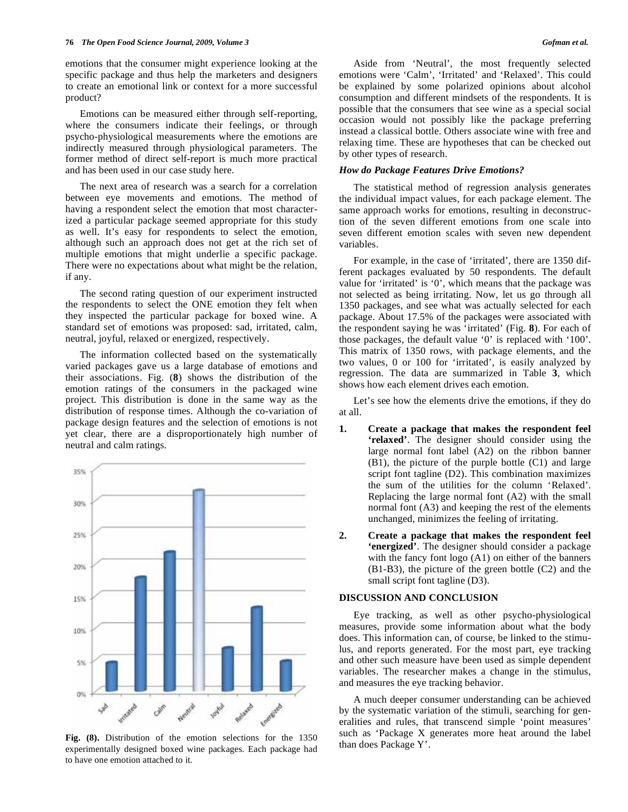emotions that the consumer might experience looking at the specific package and thus help the marketers and designers to create an emotional link or context for a more successful product?

Emotions can be measured either through self-reporting, where the consumers indicate their feelings, or through psycho-physiological measurements where the emotions are indirectly measured through physiological parameters. The former method of direct self-report is much more practical and has been used in our case study here.

The next area of research was a search for a correlation between eye movements and emotions. The method of having a respondent select the emotion that most characterized a particular package seemed appropriate for this study as well. It's easy for respondents to select the emotion, although such an approach does not get at the rich set of multiple emotions that might underlie a specific package. There were no expectations about what might be the relation, if any.

The second rating question of our experiment instructed the respondents to select the ONE emotion they felt when they inspected the particular package for boxed wine. A standard set of emotions was proposed: sad, irritated, calm, neutral, joyful, relaxed or energized, respectively.

The information collected based on the systematically varied packages gave us a large database of emotions and their associations. Fig. (**8**) shows the distribution of the emotion ratings of the consumers in the packaged wine project. This distribution is done in the same way as the distribution of response times. Although the co-variation of package design features and the selection of emotions is not yet clear, there are a disproportionately high number of neutral and calm ratings.



**Fig. (8).** Distribution of the emotion selections for the 1350 experimentally designed boxed wine packages. Each package had to have one emotion attached to it.

Aside from 'Neutral', the most frequently selected emotions were 'Calm', 'Irritated' and 'Relaxed'. This could be explained by some polarized opinions about alcohol consumption and different mindsets of the respondents. It is possible that the consumers that see wine as a special social occasion would not possibly like the package preferring instead a classical bottle. Others associate wine with free and relaxing time. These are hypotheses that can be checked out by other types of research.

#### *How do Package Features Drive Emotions?*

The statistical method of regression analysis generates the individual impact values, for each package element. The same approach works for emotions, resulting in deconstruction of the seven different emotions from one scale into seven different emotion scales with seven new dependent variables.

For example, in the case of 'irritated', there are 1350 different packages evaluated by 50 respondents. The default value for 'irritated' is '0', which means that the package was not selected as being irritating. Now, let us go through all 1350 packages, and see what was actually selected for each package. About 17.5% of the packages were associated with the respondent saying he was 'irritated' (Fig. **8**). For each of those packages, the default value '0' is replaced with '100'. This matrix of 1350 rows, with package elements, and the two values, 0 or 100 for 'irritated', is easily analyzed by regression. The data are summarized in Table **3**, which shows how each element drives each emotion.

Let's see how the elements drive the emotions, if they do at all.

- **1. Create a package that makes the respondent feel 'relaxed'**. The designer should consider using the large normal font label (A2) on the ribbon banner (B1), the picture of the purple bottle (C1) and large script font tagline (D2). This combination maximizes the sum of the utilities for the column 'Relaxed'. Replacing the large normal font (A2) with the small normal font (A3) and keeping the rest of the elements unchanged, minimizes the feeling of irritating.
- **2. Create a package that makes the respondent feel 'energized'**. The designer should consider a package with the fancy font logo (A1) on either of the banners (B1-B3), the picture of the green bottle (C2) and the small script font tagline (D3).

## **DISCUSSION AND CONCLUSION**

Eye tracking, as well as other psycho-physiological measures, provide some information about what the body does. This information can, of course, be linked to the stimulus, and reports generated. For the most part, eye tracking and other such measure have been used as simple dependent variables. The researcher makes a change in the stimulus, and measures the eye tracking behavior.

A much deeper consumer understanding can be achieved by the systematic variation of the stimuli, searching for generalities and rules, that transcend simple 'point measures' such as 'Package X generates more heat around the label than does Package Y'.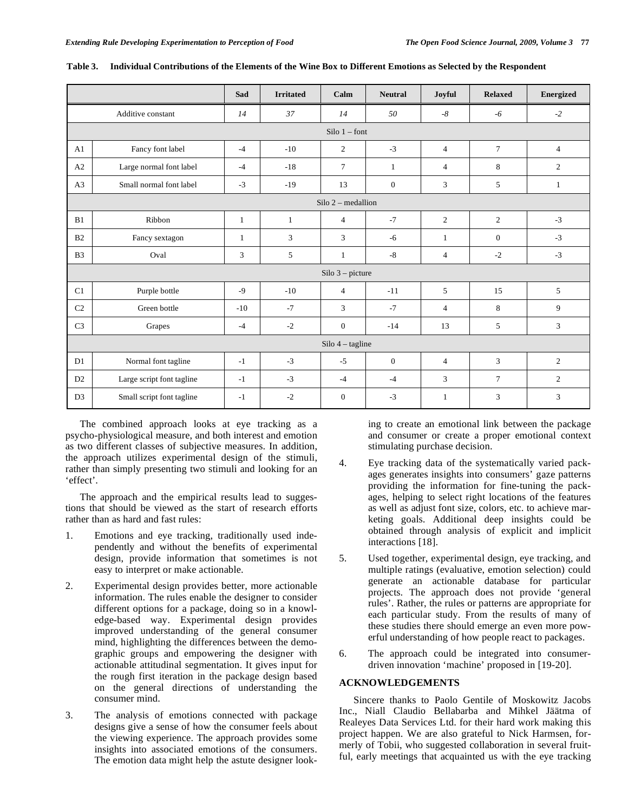|                |                           | Sad             | <b>Irritated</b> | Calm               | <b>Neutral</b>   | Joyful         | <b>Relaxed</b>  | <b>Energized</b> |
|----------------|---------------------------|-----------------|------------------|--------------------|------------------|----------------|-----------------|------------------|
|                | Additive constant         | 14              | 37               | 14                 | 50               | $-8$           | $-6$            | $-2$             |
|                |                           | Silo $1$ – font |                  |                    |                  |                |                 |                  |
| A1             | Fancy font label          | $-4$            | $-10$            | $\overline{c}$     | $-3$             | $\overline{4}$ | $7\phantom{.0}$ | $\overline{4}$   |
| A2             | Large normal font label   | $-4$            | $-18$            | $\tau$             | $\mathbf{1}$     | $\overline{4}$ | 8               | $\overline{c}$   |
| A <sub>3</sub> | Small normal font label   | $-3$            | $-19$            | 13                 | $\boldsymbol{0}$ | 3              | 5               | $\mathbf{1}$     |
|                | $Silo 2 - median$         |                 |                  |                    |                  |                |                 |                  |
| B1             | Ribbon                    | 1               | $\mathbf{1}$     | $\overline{4}$     | $-7$             | $\mathbf{2}$   | $\overline{c}$  | $-3$             |
| B <sub>2</sub> | Fancy sextagon            | $\mathbf{1}$    | 3                | 3                  | $-6$             | $\mathbf{1}$   | $\mathbf{0}$    | $-3$             |
| B <sub>3</sub> | Oval                      | 3               | 5                | $\mathbf{1}$       | $-8$             | $\overline{4}$ | $-2$            | $-3$             |
|                | $Silo 3 - picture$        |                 |                  |                    |                  |                |                 |                  |
| C1             | Purple bottle             | $-9$            | $-10$            | $\overline{4}$     | $-11$            | 5              | 15              | 5                |
| C <sub>2</sub> | Green bottle              | $-10$           | $-7$             | 3                  | $-7$             | 4              | 8               | 9                |
| C <sub>3</sub> | Grapes                    | $-4$            | $-2$             | $\boldsymbol{0}$   | $-14$            | 13             | 5               | 3                |
|                |                           |                 |                  | $Silo$ 4 – tagline |                  |                |                 |                  |
| D1             | Normal font tagline       | $-1$            | $-3$             | $-5$               | $\mathbf{0}$     | $\overline{4}$ | 3               | $\overline{c}$   |
| D2             | Large script font tagline | $-1$            | $-3$             | $-4$               | $-4$             | 3              | $\tau$          | 2                |
| D <sub>3</sub> | Small script font tagline | $-1$            | $-2$             | $\mathbf{0}$       | $-3$             | $\mathbf{1}$   | 3               | 3                |

| Table 3. Individual Contributions of the Elements of the Wine Box to Different Emotions as Selected by the Respondent |  |
|-----------------------------------------------------------------------------------------------------------------------|--|
|-----------------------------------------------------------------------------------------------------------------------|--|

The combined approach looks at eye tracking as a psycho-physiological measure, and both interest and emotion as two different classes of subjective measures. In addition, the approach utilizes experimental design of the stimuli, rather than simply presenting two stimuli and looking for an 'effect'.

The approach and the empirical results lead to suggestions that should be viewed as the start of research efforts rather than as hard and fast rules:

- 1. Emotions and eye tracking, traditionally used independently and without the benefits of experimental design, provide information that sometimes is not easy to interpret or make actionable.
- 2. Experimental design provides better, more actionable information. The rules enable the designer to consider different options for a package, doing so in a knowledge-based way. Experimental design provides improved understanding of the general consumer mind, highlighting the differences between the demographic groups and empowering the designer with actionable attitudinal segmentation. It gives input for the rough first iteration in the package design based on the general directions of understanding the consumer mind.
- 3. The analysis of emotions connected with package designs give a sense of how the consumer feels about the viewing experience. The approach provides some insights into associated emotions of the consumers. The emotion data might help the astute designer look-

ing to create an emotional link between the package and consumer or create a proper emotional context stimulating purchase decision.

- 4. Eye tracking data of the systematically varied packages generates insights into consumers' gaze patterns providing the information for fine-tuning the packages, helping to select right locations of the features as well as adjust font size, colors, etc. to achieve marketing goals. Additional deep insights could be obtained through analysis of explicit and implicit interactions [18].
- 5. Used together, experimental design, eye tracking, and multiple ratings (evaluative, emotion selection) could generate an actionable database for particular projects. The approach does not provide 'general rules'. Rather, the rules or patterns are appropriate for each particular study. From the results of many of these studies there should emerge an even more powerful understanding of how people react to packages.
- 6. The approach could be integrated into consumerdriven innovation 'machine' proposed in [19-20].

# **ACKNOWLEDGEMENTS**

Sincere thanks to Paolo Gentile of Moskowitz Jacobs Inc., Niall Claudio Bellabarba and Mihkel Jäätma of Realeyes Data Services Ltd. for their hard work making this project happen. We are also grateful to Nick Harmsen, formerly of Tobii, who suggested collaboration in several fruitful, early meetings that acquainted us with the eye tracking